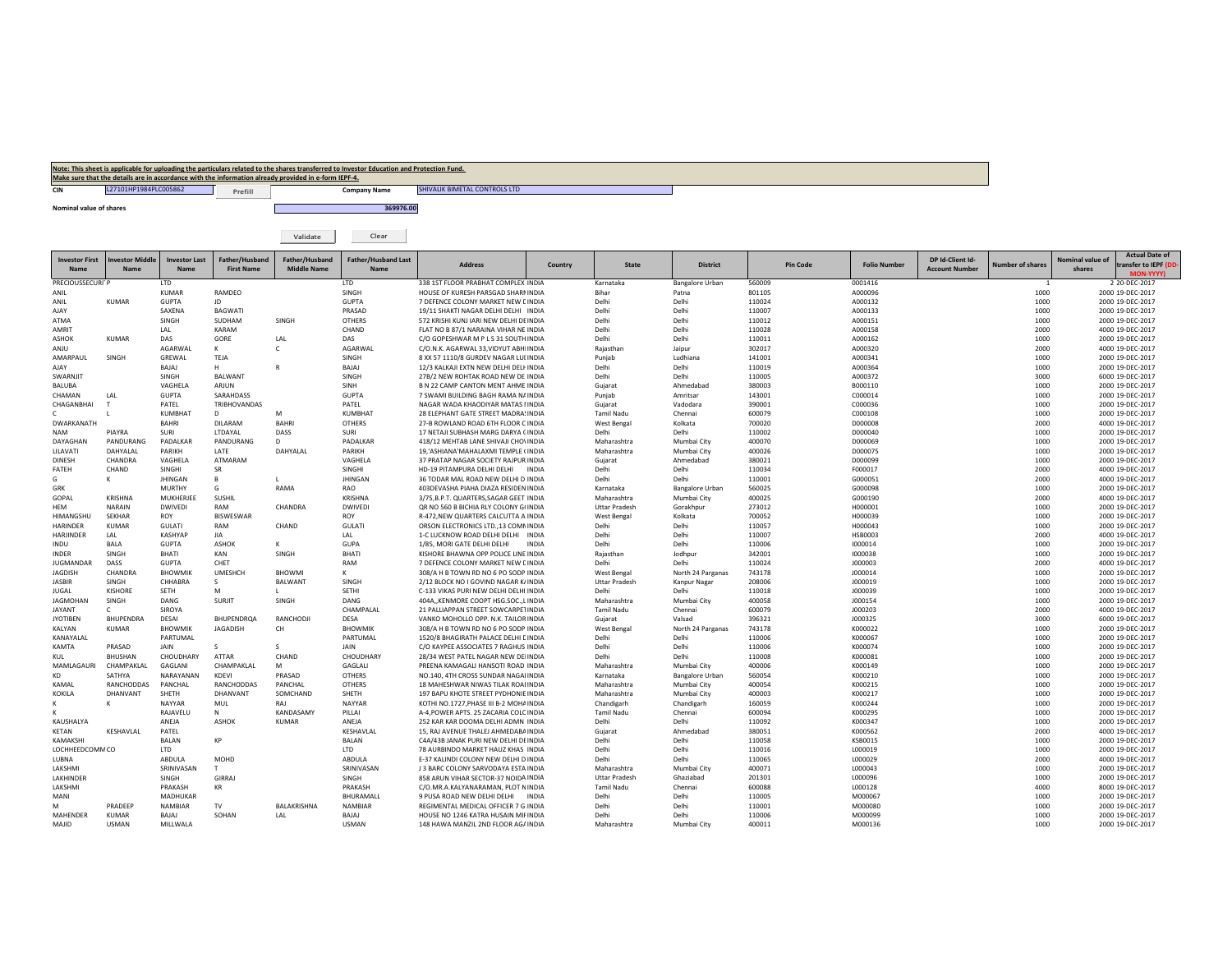| Note: This sheet is applicable for uploading the particulars related to the shares transferred to Investor Education and Protection Fund. |                                                                                                      |         |              |                               |  |  |  |  |  |  |
|-------------------------------------------------------------------------------------------------------------------------------------------|------------------------------------------------------------------------------------------------------|---------|--------------|-------------------------------|--|--|--|--|--|--|
|                                                                                                                                           | Make sure that the details are in accordance with the information already provided in e-form IEPF-4. |         |              |                               |  |  |  |  |  |  |
|                                                                                                                                           | L27101HP1984PLC005862                                                                                | Prefill | Company Name | SHIVALIK BIMETAL CONTROLS LTD |  |  |  |  |  |  |

**Nominal valueof shares 369976.00**

Validate Clear

| <b>Investor First</b><br>Name | nvestor Middle<br>Name | <b>Investor Last</b><br>Name | Father/Husband<br><b>First Name</b> | Father/Husband<br><b>Middle Name</b> | <b>Father/Husband Last</b><br>Name | <b>Address</b>                          | Country      | <b>State</b>         | <b>District</b>        | <b>Pin Code</b> | <b>Folio Number</b> | DP Id-Client Id-<br><b>Account Number</b> | Jumber of shares | Nominal value o<br>shares | <b>Actual Date of</b><br>cransfer to IEPF (DD<br><b>MON-YYYY)</b> |
|-------------------------------|------------------------|------------------------------|-------------------------------------|--------------------------------------|------------------------------------|-----------------------------------------|--------------|----------------------|------------------------|-----------------|---------------------|-------------------------------------------|------------------|---------------------------|-------------------------------------------------------------------|
| PRECIOUSSECURITP              |                        | <b>LTD</b>                   |                                     |                                      | <b>LTD</b>                         | 338 1ST FLOOR PRABHAT COMPLEX INDIA     |              | Karnataka            | <b>Bangalore Urban</b> | 560009          | 0001416             |                                           |                  |                           | 2 20-DEC-2017                                                     |
| ANII                          |                        | <b>KUMAR</b>                 | RAMDEO                              |                                      | SINGH                              | HOUSE OF KURESH PARSGAD SHARNINDIA      |              | Bihar                | Patna                  | 801105          | A000096             |                                           | 1000             |                           | 2000 19-DEC-2017                                                  |
| ANIL                          | <b>KUMAR</b>           | <b>GUPTA</b>                 | JD.                                 |                                      | <b>GUPTA</b>                       | 7 DEFENCE COLONY MARKET NEW DINDIA      |              | Delhi                | Delhi                  | 110024          | A000132             |                                           | 1000             |                           | 2000 19-DEC-2017                                                  |
| <b>AJAY</b>                   |                        | SAXENA                       | <b>BAGWATI</b>                      |                                      | PRASAD                             | 19/11 SHAKTI NAGAR DELHI DELHI INDIA    |              | Delhi                | Delhi                  | 110007          | A000133             |                                           | 1000             |                           | 2000 19-DEC-2017                                                  |
| ATMA                          |                        | SINGH                        | SUDHAM                              | SINGH                                | <b>OTHERS</b>                      | 572 KRISHI KUNJ JARI NEW DELHI DEINDIA  |              | Delhi                | Delhi                  | 110012          | A000151             |                                           | 1000             |                           | 2000 19-DEC-2017                                                  |
| <b>AMRIT</b>                  |                        | LAL                          | KARAM                               |                                      | CHAND                              | FLAT NO B 87/1 NARAINA VIHAR NE INDIA   |              | Delhi                | Delhi                  | 110028          | A000158             |                                           | 2000             |                           | 4000 19-DEC-2017                                                  |
| <b>ASHOK</b>                  | <b>KUMAR</b>           | DAS                          | GORE                                | LAL                                  | DAS                                | C/O GOPESHWAR M P L S 31 SOUTH INDIA    |              | Delhi                | Delhi                  | 110011          | A000162             |                                           | 1000             |                           | 2000 19-DEC-2017                                                  |
| ANJU                          |                        | AGARWAL                      | к                                   | $\mathsf{C}$                         | AGARWAL                            | C/O.N.K. AGARWAL 33.VIDYUT ABHIINDIA    |              | Raiasthan            | Jaipur                 | 302017          | A000320             |                                           | 2000             |                           | 4000 19-DEC-2017                                                  |
| AMARPAUL                      | SINGH                  | GREWAL                       | TEJA                                |                                      | SINGH                              | 8 XX 57 1110/8 GURDEV NAGAR LULINDIA    |              | Punjab               | Ludhiana               | 141001          | A000341             |                                           | 1000             |                           | 2000 19-DEC-2017                                                  |
| AIAY                          |                        | BAJAJ                        | н                                   | R                                    | BAJAJ                              | 12/3 KALKAJI EXTN NEW DELHI DELHINDIA   |              | Delhi                | Delhi                  | 110019          | A000364             |                                           | 1000             |                           | 2000 19-DEC-2017                                                  |
| SWARNJIT                      |                        | SINGH                        | <b>BALWANT</b>                      |                                      | SINGH                              | 27B/2 NEW ROHTAK ROAD NEW DE INDIA      |              | Delhi                | Delhi                  | 110005          | A000372             |                                           | 3000             |                           | 6000 19-DEC-2017                                                  |
| <b>BALUBA</b>                 |                        | VAGHELA                      | ARJUN                               |                                      | SINH                               | B N 22 CAMP CANTON MENT AHME INDIA      |              | Gujarat              | Ahmedabad              | 380003          | B000110             |                                           | 1000             |                           | 2000 19-DEC-2017                                                  |
| CHAMAN                        | LAL                    | <b>GUPTA</b>                 | SARAHDASS                           |                                      | <b>GUPTA</b>                       | 7 SWAMI BUILDING BAGH RAMA NAINDIA      |              | Punjab               | Amritsar               | 143001          | C000014             |                                           | 1000             |                           | 2000 19-DEC-2017                                                  |
| CHAGANBHAI                    |                        | PATEL                        | TRIBHOVANDAS                        |                                      | PATEL                              | NAGAR WADA KHAODIYAR MATAS I INDIA      |              | Gujarat              | Vadodara               | 390001          | C000036             |                                           | 1000             |                           | 2000 19-DEC-2017                                                  |
|                               |                        | KUMBHAT                      | $\mathsf{D}$                        | M                                    | <b>KUMBHAT</b>                     | 28 ELEPHANT GATE STREET MADRASINDIA     |              | <b>Tamil Nadu</b>    | Chennai                | 600079          | C000108             |                                           | 1000             |                           | 2000 19-DEC-2017                                                  |
| <b>DWARKANATH</b>             |                        | <b>BAHRI</b>                 | <b>DILARAM</b>                      | <b>BAHRI</b>                         | <b>OTHERS</b>                      | 27-B ROWLAND ROAD 6TH FLOOR C INDIA     |              | West Bengal          | Kolkata                | 700020          | D000008             |                                           | 2000             |                           | 4000 19-DEC-2017                                                  |
| <b>NAM</b>                    | PIAYRA                 | SURI                         | LTDAYAL                             | DASS                                 | SURI                               | 17 NETAJI SUBHASH MARG DARYA CINDIA     |              | Delhi                | Delhi                  | 110002          | D000040             |                                           | 1000             |                           | 2000 19-DEC-2017                                                  |
| DAYAGHAN                      | PANDURANG              | PADALKAR                     | PANDURANG                           | D.                                   | PADALKAR                           | 418/12 MEHTAB LANE SHIVAJI CHOVINDIA    |              | Maharashtra          | Mumbai City            | 400070          | D000069             |                                           | 1000             |                           | 2000 19-DEC-2017                                                  |
| LILAVATI                      | DAHYALAL               | PARIKH                       | LATE                                | DAHYALAL                             | PARIKH                             | 19.'ASHIANA'MAHALAXMI TEMPLE (INDIA     |              | Maharashtra          | Mumbai City            | 400026          | D000075             |                                           | 1000             |                           | 2000 19-DEC-2017                                                  |
| <b>DINESH</b>                 | CHANDRA                | VAGHELA                      | ATMARAM                             |                                      | VAGHELA                            | 37 PRATAP NAGAR SOCIETY RAJPUR INDIA    |              | Gujarat              | Ahmedabad              | 380021          | D000099             |                                           | 1000             |                           | 2000 19-DEC-2017                                                  |
| FATEH                         | CHAND                  | SINGHI                       | SR                                  |                                      | SINGHI                             | HD-19 PITAMPURA DELHI DELHI             | INDIA        | Delhi                | Delhi                  | 110034          | F000017             |                                           | 2000             |                           | 4000 19-DEC-2017                                                  |
| G                             |                        | <b>JHINGAN</b>               | B                                   | т.                                   | <b>JHINGAN</b>                     | 36 TODAR MAL ROAD NEW DELHI D INDIA     |              | Delhi                | Delhi                  | 110001          | G000051             |                                           | 2000             |                           | 4000 19-DEC-2017                                                  |
| GRK                           |                        | <b>MURTHY</b>                | G                                   | RAMA                                 | <b>RAO</b>                         | 403DEVASHA PIAHA DIAZA RESIDEN INDIA    |              | Karnataka            | <b>Bangalore Urban</b> | 560025          | G000098             |                                           | 1000             |                           | 2000 19-DEC-2017                                                  |
| GOPAL                         | <b>KRISHNA</b>         | MUKHERJEE                    | SUSHIL                              |                                      | <b>KRISHNA</b>                     | 3/75, B.P.T. QUARTERS, SAGAR GEET INDIA |              | Maharashtra          | Mumbai City            | 400025          | G000190             |                                           | 2000             |                           | 4000 19-DEC-2017                                                  |
| HEM                           | NARAIN                 | <b>DWIVEDI</b>               | RAM                                 | CHANDRA                              | <b>DWIVEDI</b>                     | QR NO 560 B BICHIA RLY COLONY G(INDIA   |              | <b>Uttar Pradesh</b> | Gorakhpur              | 273012          | H000001             |                                           | 1000             |                           | 2000 19-DEC-2017                                                  |
| HIMANGSHU                     | <b>SEKHAR</b>          | <b>ROY</b>                   | <b>BISWESWAR</b>                    |                                      | ROY                                | R-472, NEW QUARTERS CALCUTTA A INDIA    |              | West Bengal          | Kolkata                | 700052          | H000039             |                                           | 1000             |                           | 2000 19-DEC-2017                                                  |
| <b>HARINDER</b>               | <b>KUMAR</b>           | <b>GULATI</b>                | RAM                                 | CHAND                                | GULATI                             | ORSON ELECTRONICS LTD., 13 COMNINDIA    |              | Delhi                | Delhi                  | 110057          | H000043             |                                           | 1000             |                           | 2000 19-DEC-2017                                                  |
| HARJINDER                     | LAL                    | <b>KASHYAP</b>               | JIA                                 |                                      | LAL                                | 1-C LUCKNOW ROAD DELHI DELHI INDIA      |              | Delhi                | Delhi                  | 110007          | <b>HSB0003</b>      |                                           | 2000             |                           | 4000 19-DEC-2017                                                  |
| INDU                          | BALA                   | <b>GUPTA</b>                 | ASHOK                               | к                                    | GUPA                               | 1/85, MORI GATE DELHI DELHI             | <b>INDIA</b> | Delhi                | Delhi                  | 110006          | 1000014             |                                           | 1000             |                           | 2000 19-DEC-2017                                                  |
| <b>INDER</b>                  | SINGH                  | <b>BHATI</b>                 | KAN                                 | SINGH                                | <b>BHATI</b>                       | KISHORE BHAWNA OPP POLICE LINE INDIA    |              | Rajasthan            | Jodhpur                | 342001          | 1000038             |                                           | 1000             |                           | 2000 19-DEC-2017                                                  |
| <b>JUGMANDAR</b>              | DASS                   | <b>GUPTA</b>                 | CHET                                |                                      | RAM                                | 7 DEFENCE COLONY MARKET NEW DINDIA      |              | Delhi                | Delhi                  | 110024          | J000003             |                                           | 2000             |                           | 4000 19-DEC-2017                                                  |
| JAGDISH                       | CHANDRA                | <b>BHOWMIK</b>               | <b>UMESHCH</b>                      | <b>BHOWMI</b>                        | ĸ                                  | 308/A H B TOWN RD NO 6 PO SODP INDIA    |              | West Bengal          | North 24 Parganas      | 743178          | J000014             |                                           | 1000             |                           | 2000 19-DEC-2017                                                  |
| <b>JASBIR</b>                 | SINGH                  | CHHABRA                      | -S.                                 | <b>BALWANT</b>                       | SINGH                              | 2/12 BLOCK NO I GOVIND NAGAR K/INDIA    |              | <b>Uttar Pradesh</b> | Kanpur Nagar           | 208006          | J000019             |                                           | 1000             |                           | 2000 19-DEC-2017                                                  |
| <b>JUGAL</b>                  | <b>KISHORE</b>         | SETH                         | M                                   | L.                                   | SETHI                              | C-133 VIKAS PURI NEW DELHI DELHI INDIA  |              | Delhi                | Delhi                  | 110018          | J000039             |                                           | 1000             |                           | 2000 19-DEC-2017                                                  |
| <b>JAGMOHAN</b>               | SINGH                  | DANG                         | SURJIT                              | SINGH                                | DANG                               | 404A,, KENMORE COOPT HSG.SOC., LINDIA   |              | Maharashtra          | Mumbai City            | 400058          | J000154             |                                           | 1000             |                           | 2000 19-DEC-2017                                                  |
| <b>JAYANT</b>                 | C.                     | SIROYA                       |                                     |                                      | CHAMPALAL                          | 21 PALLIAPPAN STREET SOWCARPETINDIA     |              | Tamil Nadu           | Chennai                | 600079          | J000203             |                                           | 2000             |                           | 4000 19-DEC-2017                                                  |
| <b>JYOTIBEN</b>               | BHUPENDRA              | DESAI                        | <b>BHUPENDROA</b>                   | RANCHODJI                            | <b>DESA</b>                        | VANKO MOHOLLO OPP. N.K. TAILOR INDIA    |              | Guiarat              | Valsad                 | 396321          | J000325             |                                           | 3000             |                           | 6000 19-DEC-2017                                                  |
| KALYAN                        | <b>KUMAR</b>           | <b>BHOWMIK</b>               | <b>JAGADISH</b>                     | CH                                   | <b>BHOWMIK</b>                     | 308/A H B TOWN RD NO 6 PO SODP INDIA    |              | West Bengal          | North 24 Parganas      | 743178          | K000022             |                                           | 1000             |                           | 2000 19-DEC-2017                                                  |
| KANAYALAL                     |                        | PARTUMAL                     |                                     |                                      | PARTUMAL                           | 1520/8 BHAGIRATH PALACE DELHI DINDIA    |              | Delhi                | Delhi                  | 110006          | K000067             |                                           | 1000             |                           | 2000 19-DEC-2017                                                  |
| KAMTA                         | PRASAD                 | JAIN                         | S.                                  | s                                    | <b>JAIN</b>                        | C/O KAYPEE ASSOCIATES 7 RAGHUS INDIA    |              | Delhi                | Delhi                  | 110006          | K000074             |                                           | 1000             |                           | 2000 19-DEC-2017                                                  |
| KUL                           | <b>BHUSHAN</b>         | CHOUDHARY                    | ATTAR                               | CHAND                                | CHOUDHARY                          | 28/34 WEST PATEL NAGAR NEW DELINDIA     |              | Delhi                | Delhi                  | 110008          | K000081             |                                           | 1000             |                           | 2000 19-DEC-2017                                                  |
| MAMLAGAURI                    | CHAMPAKLAL             | GAGLANI                      | CHAMPAKLAL                          | M                                    | GAGLALI                            | PREENA KAMAGALI HANSOTI ROAD INDIA      |              | Maharashtra          | Mumbai City            | 400006          | K000149             |                                           | 1000             |                           | 2000 19-DEC-2017                                                  |
| KD                            | SATHYA                 | NARAYANAN                    | KDEVI                               | PRASAD                               | <b>OTHERS</b>                      | NO.140, 4TH CROSS SUNDAR NAGAHNDIA      |              | Karnataka            | <b>Bangalore Urban</b> | 560054          | K000210             |                                           | 1000             |                           | 2000 19-DEC-2017                                                  |
| KAMAL                         | RANCHODDAS             | PANCHAL                      | RANCHODDAS                          | PANCHAL                              | OTHERS                             | 18 MAHESHWAR NIWAS TILAK ROALINDIA      |              | Maharashtra          | Mumbai City            | 400054          | K000215             |                                           | 1000             |                           | 2000 19-DEC-2017                                                  |
| KOKILA                        | DHANVANT               | SHETH                        | DHANVANT                            | SOMCHAND                             | SHETH                              | 197 BAPU KHOTE STREET PYDHONIE INDIA    |              | Maharashtra          | Mumbai City            | 400003          | K000217             |                                           | 1000             |                           | 2000 19-DEC-2017                                                  |
|                               |                        | <b>NAYYAR</b>                | MUL                                 | RAJ                                  | NAYYAR                             | KOTHI NO.1727, PHASE III B-2 MOHAINDIA  |              | Chandigarh           | Chandigarh             | 160059          | K000244             |                                           | 1000             |                           | 2000 19-DEC-2017                                                  |
|                               |                        | RAJAVELU                     | N                                   | KANDASAMY                            | PILLAI                             | A-4, POWER APTS. 25 ZACARIA COLCINDIA   |              | <b>Tamil Nadu</b>    | Chennai                | 600094          | K000295             |                                           | 1000             |                           | 2000 19-DEC-2017                                                  |
| KAUSHALYA                     |                        | ANEJA                        | <b>ASHOK</b>                        | <b>KUMAR</b>                         | ANEJA                              | 252 KAR KAR DOOMA DELHI ADMN INDIA      |              | Delhi                | Delhi                  | 110092          | K000347             |                                           | 1000             |                           | 2000 19-DEC-2017                                                  |
| KETAN                         | KESHAVLAL              | PATEL                        |                                     |                                      | KESHAVLAL                          | 15. RAJ AVENUE THALEJ AHMEDABAINDIA     |              | Gujarat              | Ahmedabad              | 380051          | K000562             |                                           | 2000             |                           | 4000 19-DEC-2017                                                  |
| KAMAKSHI                      |                        | <b>BALAN</b>                 | KP                                  |                                      | <b>BALAN</b>                       | C4A/43B JANAK PURI NEW DELHI DEINDIA    |              | Delhi                | Delhi                  | 110058          | <b>KSB0015</b>      |                                           | 1000             |                           | 2000 19-DEC-2017                                                  |
| <b>LOCHHEEDCOMMCO</b>         |                        | LTD                          |                                     |                                      | <b>LTD</b>                         | 78 AURBINDO MARKET HAUZ KHAS INDIA      |              | Delhi                | Delhi                  | 110016          | L000019             |                                           | 1000             |                           | 2000 19-DEC-2017                                                  |
| LUBNA                         |                        | ABDULA                       | MOHD                                |                                      | ABDULA                             | E-37 KALINDI COLONY NEW DELHI D INDIA   |              | Delhi                | Delhi                  | 110065          | L000029             |                                           | 2000             |                           | 4000 19-DEC-2017                                                  |
| LAKSHMI                       |                        | SRINIVASAN                   | T                                   |                                      | SRINIVASAN                         | J 3 BARC COLONY SARVODAYA ESTA INDIA    |              | Maharashtra          | Mumbai City            | 400071          | L000043             |                                           | 1000             |                           | 2000 19-DEC-2017                                                  |
| LAKHINDER                     |                        | SINGH                        | GIRRAJ                              |                                      | SINGH                              | 858 ARUN VIHAR SECTOR-37 NOIDA INDIA    |              | <b>Uttar Pradesh</b> | Ghaziabad              | 201301          | L000096             |                                           | 1000             |                           | 2000 19-DEC-2017                                                  |
| LAKSHMI                       |                        | PRAKASH                      | KR                                  |                                      | PRAKASH                            | C/O.MR.A.KALYANARAMAN, PLOT NINDIA      |              | <b>Tamil Nadu</b>    | Chennai                | 600088          | L000128             |                                           | 4000             |                           | 8000 19-DEC-2017                                                  |
| MANI                          |                        | MADHUKAR                     |                                     |                                      | BHURAMALL                          | 9 PUSA ROAD NEW DELHI DELHI             | INDIA        | Delhi                | Delhi                  | 110005          | M000067             |                                           | 1000             |                           | 2000 19-DEC-2017                                                  |
| M                             | PRADEEP                | <b>NAMBIAR</b>               | TV                                  | BALAKRISHNA                          | <b>NAMBIAR</b>                     | REGIMENTAL MEDICAL OFFICER 7 G INDIA    |              | Delhi                | Delhi                  | 110001          | M000080             |                                           | 1000             |                           | 2000 19-DEC-2017                                                  |
| MAHENDER                      | <b>KUMAR</b>           | BAJAJ                        | SOHAN                               | LAL                                  | BAJAJ                              | HOUSE NO 1246 KATRA HUSAIN MIFINDIA     |              | Delhi                | Delhi                  | 110006          | M000099             |                                           | 1000             |                           | 2000 19-DEC-2017                                                  |
| MAJID                         | <b>USMAN</b>           | MILLWALA                     |                                     |                                      | <b>USMAN</b>                       | 148 HAWA MANZIL 2ND FLOOR AGAINDIA      |              | Maharashtra          | Mumbai City            | 400011          | M000136             |                                           | 1000             |                           | 2000 19-DEC-2017                                                  |
|                               |                        |                              |                                     |                                      |                                    |                                         |              |                      |                        |                 |                     |                                           |                  |                           |                                                                   |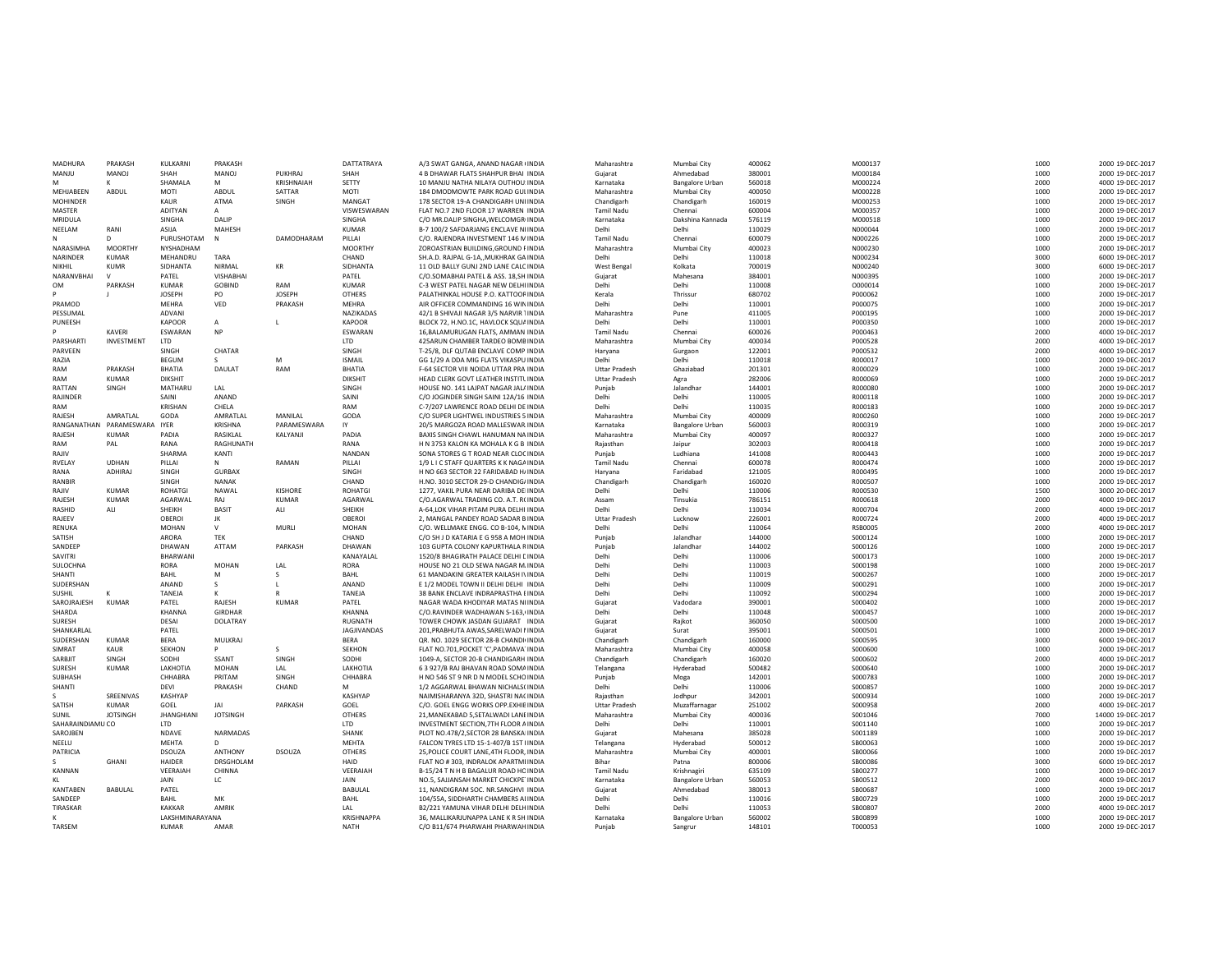| MADHURA          | PRAKASH         | KULKARN                | PRAKASH         |                | DATTATRAYA        | A/3 SWAT GANGA, ANAND NAGAR (INDIA      | Maharashtra          | Mumbai City            | 400062 | M000137        | 1000 | 2000 19-DEC-2017  |
|------------------|-----------------|------------------------|-----------------|----------------|-------------------|-----------------------------------------|----------------------|------------------------|--------|----------------|------|-------------------|
| MANJU            | MANOJ           | SHAH                   | MANOJ           | PUKHRAJ        | SHAH              | 4 B DHAWAR FLATS SHAHPUR BHAI INDIA     | Guiarat              | Ahmedabad              | 380001 | M000184        | 1000 | 2000 19-DEC-2017  |
| M                | ĸ               | SHAMALA                | M               | KRISHNAIAH     | SETTY             | 10 MANJU NATHA NILAYA OUTHOU! INDIA     | Karnataka            | <b>Bangalore Urban</b> | 560018 | M000224        | 2000 | 4000 19-DEC-2017  |
| MEHJABEEN        | ABDUL           | MOTI                   | ABDUL           | SATTAR         | MOTI              | 184 DMODMOWTE PARK ROAD GULINDIA        | Maharashtra          | Mumbai City            | 400050 | M000228        | 1000 | 2000 19-DEC-2017  |
| <b>MOHINDER</b>  |                 | KAUR                   | ATMA            | SINGH          | MANGAT            | 178 SECTOR 19-A CHANDIGARH UNI INDIA    | Chandigarh           | Chandigarh             | 160019 | M000253        | 1000 | 2000 19-DEC-2017  |
| MASTER           |                 | ADITYAN                | $\overline{A}$  |                | VISWESWARAN       | FLAT NO.7 2ND FLOOR 17 WARREN INDIA     | <b>Tamil Nadu</b>    | Chennai                | 600004 | M000357        | 1000 | 2000 19-DFC-2017  |
| <b>MRIDULA</b>   |                 | SINGHA                 | DAILP           |                | <b>SINGHA</b>     | C/O MR.DALIP SINGHA, WELCOMGR(INDIA     | Karnataka            | Dakshina Kannada       | 576119 | M000518        | 1000 | 2000 19-DEC-2017  |
| NEELAM           | RANI            | ASIJA                  | MAHESH          |                | <b>KUMAR</b>      | B-7 100/2 SAFDARJANG ENCLAVE NEINDIA    | Delhi                | Delhi                  | 110029 | N000044        | 1000 | 2000 19-DEC-2017  |
|                  | n.              | PURUSHOTAM             | - N             | DAMODHARAM     | PILLAI            | C/O. RAJENDRA INVESTMENT 146 MINDIA     | <b>Tamil Nadu</b>    | Chennai                | 600079 | N000226        | 1000 | 2000 19-DEC-2017  |
| NARASIMHA        | <b>MOORTHY</b>  | NYSHADHAM              |                 |                | <b>MOORTHY</b>    |                                         | Maharashtra          |                        | 400023 | N000230        | 1000 | 2000 19-DEC-201   |
| <b>NARINDER</b>  | KUMAR           |                        |                 |                |                   | ZOROASTRIAN BUILDING, GROUND FINDIA     | Delhi                | Mumbai City            |        |                |      |                   |
|                  |                 | MEHANDRU               | TARA            |                | CHAND             | SH.A.D. RAJPAL G-1A,, MUKHRAK GA INDIA  |                      | Delhi                  | 110018 | N000234        | 3000 | 6000 19-DEC-2017  |
| NIKHII           | <b>KUMR</b>     | SIDHANTA               | NIRMAL          | KR             | SIDHANTA          | 11 OLD BALLY GUNJ 2ND LANE CALC INDIA   | West Bengal          | Kolkata                | 700019 | N000240        | 3000 | 6000 19-DEC-2017  |
| NARANVBHAI       |                 | PATEL                  | VISHABHAI       |                | PATEL             | C/O.SOMABHAI PATEL & ASS. 18,SH INDIA   | Guiarat              | Mahesana               | 384001 | N000395        | 1000 | 2000 19-DEC-2017  |
| OM               | PARKASH         | <b>KUMAR</b>           | <b>GOBIND</b>   | RAM            | KUMAR             | C-3 WEST PATEL NAGAR NEW DELHI INDIA    | Delhi                | Delhi                  | 110008 | 0000014        | 1000 | 2000 19-DEC-2017  |
|                  |                 | <b>JOSEPH</b>          | PO              | <b>JOSEPH</b>  | <b>OTHERS</b>     | PALATHINKAL HOUSE P.O. KATTOORINDIA     | Kerala               | Thrissur               | 680702 | P000062        | 1000 | 2000 19-DEC-2017  |
| PRAMOD           |                 | MEHRA                  | VED             | PRAKASH        | MEHRA             | AIR OFFICER COMMANDING 16 WININDIA      | Delhi                | Delhi                  | 110001 | P000075        | 1000 | 2000 19-DEC-2017  |
| PESSUMAL         |                 | ADVANI                 |                 |                | <b>NAZIKADAS</b>  | 42/1 B SHIVAJI NAGAR 3/5 NARVIR TINDIA  | Maharashtra          | Pune                   | 411005 | P000195        | 1000 | 2000 19-DEC-2017  |
| PUNEESH          |                 | <b>KAPOOR</b>          | A               | $\mathbf{I}$   | KAPOOR            | BLOCK 72, H.NO.1C, HAVLOCK SQUAINDIA    | Delhi                | Delhi                  | 110001 | P000350        | 1000 | 2000 19-DEC-2017  |
|                  | KAVERI          | ESWARAN                | <b>NP</b>       |                | ESWARAN           | 16.BALAMURUGAN FLATS, AMMAN INDIA       | <b>Tamil Nadu</b>    | Chennai                | 600026 | P000463        | 2000 | 4000 19-DEC-2017  |
| PARSHART         | INVESTMENT      | LTD                    |                 |                | LTD               | 425ARUN CHAMBER TARDEO BOMBINDIA        | Maharashtra          | Mumbai City            | 400034 | P000528        | 2000 | 4000 19-DEC-2017  |
| PARVEEN          |                 | SINGH                  | CHATAR          |                | SINGH             | T-25/8, DLF QUTAB ENCLAVE COMP INDIA    | Harvana              | Gurgaon                | 122001 | P000532        | 2000 | 4000 19-DEC-2017  |
| RAZIA            |                 | <b>BEGUM</b>           | S.              | M              | <b>ISMAIL</b>     | GG 1/29 A DDA MIG FLATS VIKASPU INDIA   | Delhi                | Delhi                  | 110018 | R000017        | 1000 | 2000 19-DEC-2017  |
| RAM              | PRAKASH         | <b>BHATIA</b>          | DAULAT          | RAM            | <b>BHATIA</b>     | F-64 SECTOR VIII NOIDA UTTAR PRA INDIA  | <b>Uttar Pradesh</b> | Ghaziabac              | 201301 | R000029        | 1000 | 2000 19-DEC-2017  |
| RAM              | KUMAR           | <b>DIKSHIT</b>         |                 |                | <b>DIKSHIT</b>    | HEAD CLERK GOVT LEATHER INSTITUINDIA    | <b>Uttar Pradesh</b> | Aera                   | 282006 | <b>ROOO069</b> | 1000 | 2000 19-DEC-2017  |
| RATTAN           | SINGH           | MATHARU                | LAL             |                | SINGH             | HOUSE NO. 141 LAJPAT NAGAR JALAINDIA    | Puniab               | Jalandhar              | 144001 | R000080        | 1000 | 2000 19-DEC-2017  |
| <b>RAIINDER</b>  |                 | SAINI                  | ANAND           |                | SAINI             | C/O JOGINDER SINGH SAINI 12A/16 INDIA   | Delhi                | Delhi                  | 110005 | R000118        | 1000 | 2000 19-DFC-2017  |
| RAM              |                 | <b>KRISHAN</b>         | CHELA           |                | RAM               | C-7/207 LAWRENCE ROAD DELHI DE INDIA    | Delhi                | Delhi                  | 110035 | R000183        | 1000 | 2000 19-DEC-2017  |
| RAJESH           | AMRATLAL        | GODA                   | AMRATLAL        | MANILAL        | GODA              | C/O SUPER LIGHTWEL INDUSTRIES 5 INDIA   | Maharashtra          | Mumbai City            | 400009 | R000260        | 1000 | 2000 19-DEC-2017  |
| RANGANATHAN      | PARAMESWARA     | <b>IYER</b>            | KRISHNA         | PARAMESWARA    | IY                | 20/5 MARGOZA ROAD MALLESWAR INDIA       | Karnataka            | <b>Bangalore Urban</b> | 560003 | R000319        | 1000 | 2000 19-DEC-2017  |
| RAJESH           | <b>KUMAR</b>    | PADIA                  | RASIKLAL        | KALYANJI       | PADIA             | BAXIS SINGH CHAWL HANUMAN NA INDIA      | Maharashtra          |                        | 400097 | R000327        | 1000 | 2000 19-DEC-201   |
| RAM              |                 | RANA                   |                 |                | RANA              |                                         |                      | Mumbai City            |        |                |      |                   |
|                  | PAL             |                        | RAGHUNATH       |                |                   | H N 3753 KALON KA MOHALA K G B INDIA    | Rajasthan            | Jaipur                 | 302003 | R000418        | 1000 | 2000 19-DEC-2017  |
| RAJIV            |                 | SHARMA                 | KANTI           |                | NANDAN            | SONA STORES G T ROAD NEAR CLOCINDIA     | Punjab               | Ludhiana               | 141008 | R000443        | 1000 | 2000 19-DEC-2017  |
| RVELAY           | <b>UDHAN</b>    | PILLAI                 | N               | RAMAN          | PILLAI            | 1/9 L I C STAFF QUARTERS K K NAGAINDIA  | <b>Tamil Nadu</b>    | Chennai                | 600078 | R000474        | 1000 | 2000 19-DEC-2017  |
| RANA             | <b>ADHIRAI</b>  | SINGH                  | <b>GURBAX</b>   |                | SINGH             | H NO 663 SECTOR 22 FARIDARAD HAINDIA    | Harvana              | Faridabac              | 121005 | R000495        | 1000 | 2000 19-DEC-2017  |
| RANBIR           |                 | SINGH                  | <b>NANAK</b>    |                | CHAND             | H.NO. 3010 SECTOR 29-D CHANDIG/INDIA    | Chandigarh           | Chandigarh             | 160020 | R000507        | 1000 | 2000 19-DEC-2017  |
| RAJIV            | <b>KUMAR</b>    | <b>ROHATGI</b>         | NAWAL           | <b>KISHORE</b> | ROHATGI           | 1277, VAKIL PURA NEAR DARIBA DEIINDIA   | Delh                 | Delhi                  | 110006 | R000530        | 1500 | 3000 20-DEC-2017  |
| RAJESH           | <b>KUMAR</b>    | AGARWAL                | RAJ             | <b>KUMAR</b>   | AGARWAL           | C/O.AGARWAL TRADING CO. A.T. RCINDIA    | Assam                | Tinsukia               | 786151 | R000618        | 2000 | 4000 19-DEC-201   |
| RASHID           | ALI             | SHEIKH                 | <b>BASIT</b>    | ALI            | SHFIKH            | A-64, LOK VIHAR PITAM PURA DELHI INDIA  | Delhi                | Delhi                  | 110034 | R000704        | 2000 | 4000 19-DEC-2017  |
| RAJEEV           |                 | OBEROI                 | IK              |                | OBEROI            | 2. MANGAL PANDEY ROAD SADAR B INDIA     | <b>Uttar Pradesh</b> | Lucknow                | 226001 | R000724        | 2000 | 4000 19-DEC-2017  |
| RFNUKA           |                 | MOHAN                  | $\vee$          | <b>MURLI</b>   | MOHAN             | C/O. WELLMAKE ENGG. CO B-104, NINDIA    | Delhi                | Delhi                  | 110064 | <b>RSB0005</b> | 2000 | 4000 19-DEC-2017  |
| SATISH           |                 | ARORA                  | <b>TEK</b>      |                | CHAND             | C/O SH J D KATARIA E G 958 A MOH INDIA  | Punjab               | Jalandhai              | 144000 | S000124        | 1000 | 2000 19-DEC-2017  |
| SANDEEP          |                 | DHAWAN                 | ATTAM           | PARKASH        | DHAWAN            | 103 GUPTA COLONY KAPURTHALA RINDIA      | Punjab               | Jalandhai              | 144002 | S000126        | 1000 | 2000 19-DEC-2017  |
| SAVITRI          |                 | BHARWANI               |                 |                | KANAYALAL         | 1520/8 BHAGIRATH PALACE DELHI DINDIA    | Delhi                | Delhi                  | 110006 | S000173        | 1000 | 2000 19-DEC-2017  |
| SULOCHNA         |                 | <b>RORA</b>            | <b>MOHAN</b>    | LAL            | <b>RORA</b>       | HOUSE NO 21 OLD SEWA NAGAR M/INDIA      | Delhi                | Delhi                  | 110003 | S000198        | 1000 | 2000 19-DEC-2017  |
| SHANTI           |                 | BAHL                   | M               | -S             | BAHL              | 61 MANDAKINI GREATER KAILASH IVINDIA    | Delhi                | Delhi                  | 110019 | S000267        | 1000 | 2000 19-DEC-2017  |
| SUDERSHAN        |                 | ANAND                  | s.              |                | ANAND             | E 1/2 MODEL TOWN II DELHI DELHI INDIA   | Delhi                | Delhi                  | 110009 | S000291        | 1000 | 2000 19-DEC-2017  |
| SUSHIL           |                 | TANEJA                 |                 |                | <b>TANEJA</b>     | 38 BANK ENCLAVE INDRAPRASTHA EINDIA     | Delhi                | Delhi                  | 110092 | S000294        | 1000 | 2000 19-DEC-2017  |
| SAROJRAJESH      | KUMAR           | PATEL                  | RAJESH          | KUMAR          | PATEL             | NAGAR WADA KHODIYAR MATAS NI INDIA      | Gujarat              | Vadodara               | 390001 | S000402        | 1000 | 2000 19-DEC-2017  |
| SHARDA           |                 | KHANNA                 | GIRDHAR         |                | KHANNA            | C/O.RAVINDER WADHAWAN S-163,(INDIA      | Delhi                | Delhi                  | 110048 | S000457        | 1000 | 2000 19-DEC-2017  |
| SURESH           |                 | DESAI                  | DOLATRAY        |                | RUGNATH           | TOWER CHOWK JASDAN GUJARAT INDIA        | Gujarat              | Rajkot                 | 360050 | S000500        | 1000 | 2000 19-DEC-2017  |
| SHANKARLAL       |                 | PATEL                  |                 |                | JAGJIVANDAS       | 201, PRABHUTA AWAS, SARELWADI NINDIA    | Gujarat              | Surat                  | 395001 | S000501        | 1000 | 2000 19-DEC-2017  |
| SUDERSHAN        | <b>KUMAR</b>    | BERA                   | MULKRAJ         |                | BERA              | QR. NO. 1029 SECTOR 28-B CHANDI(INDIA   | Chandigarh           | Chandigarh             | 160000 | S000595        | 3000 | 6000 19-DEC-2017  |
| SIMRAT           | <b>KAUR</b>     | <b>SEKHON</b>          | p               | $\leq$         | <b>SEKHON</b>     | FLAT NO.701, POCKET 'C', PADMAVA' INDIA | Maharashtra          | Mumbai City            | 400058 | \$000600       | 1000 | 2000 19-DEC-2017  |
| SARBIIT          | SINGH           | SODHI                  | SSANT           | SINGH          | SODHI             |                                         |                      |                        |        | S000602        | 2000 |                   |
|                  |                 |                        |                 |                |                   | 1049-A, SECTOR 20-B CHANDIGARH INDIA    | Chandigarh           | Chandigarh             | 160020 |                |      | 4000 19-DEC-2017  |
| SURESH           | <b>KUMAR</b>    | LAKHOTIA               | <b>MOHAN</b>    | LAL            | LAKHOTIA          | 6 3 927/B RAJ BHAVAN ROAD SOMAINDIA     | Telangana            | Hyderabad              | 500482 | S000640        | 1000 | 2000 19-DEC-201   |
| SUBHASH          |                 | CHHABRA                | PRITAM          | SINGH          | CHHABRA           | H NO 546 ST 9 NR D N MODEL SCHO INDIA   | Punjab               | Moga                   | 142001 | S000783        | 1000 | 2000 19-DEC-2017  |
| SHANTI           |                 | DEVI                   | PRAKASH         | CHAND          | M                 | 1/2 AGGARWAL BHAWAN NICHALSCINDIA       | Delhi                | Delhi                  | 110006 | S000857        | 1000 | 2000 19-DEC-2017  |
|                  | SREENIVAS       | KASHYAP                |                 |                | KASHYAP           | NAIMISHARANYA 32D, SHASTRI NACINDIA     | Rajasthan            | Jodhpur                | 342001 | S000934        | 1000 | 2000 19-DEC-2017  |
| SATISH           | <b>KUMAR</b>    | GOEL                   | <b>JAI</b>      | PARKASH        | GOFI              | C/O. GOEL ENGG WORKS OPP EXHIBINDIA     | <b>Uttar Pradesh</b> | Muzaffarnagar          | 251002 | S000958        | 2000 | 4000 19-DEC-2017  |
| SUNIL            | <b>IOTSINGH</b> | <b>JHANGHIANI</b>      | <b>JOTSINGH</b> |                | <b>OTHERS</b>     | 21. MANEKARAD 5. SETAI WADI LANEINDIA   | Maharashtra          | Mumbai City            | 400036 | S001046        | 7000 | 14000 19-DEC-2017 |
| SAHARAINDIAMU CO |                 | <b>ITD</b>             |                 |                | <b>ITD</b>        | INVESTMENT SECTION, 7TH FLOOR AINDIA    | Delhi                | Delhi                  | 110001 | S001140        | 1000 | 2000 19-DEC-2017  |
| SAROJBEN         |                 | <b>NDAVE</b>           | NARMADAS        |                | SHANK             | PLOT NO.478/2, SECTOR 28 BANSKAIINDIA   | Gujarat              | Mahesana               | 385028 | S001189        | 1000 | 2000 19-DEC-2017  |
| NEELU            |                 | MEHTA                  | D.              |                | MEHTA             | FALCON TYRES LTD 15-1-407/B 1ST FINDIA  | Telangana            | Hyderabac              | 500012 | SB00063        | 1000 | 2000 19-DEC-2017  |
| PATRICIA         |                 | DSOUZA                 | <b>ANTHONY</b>  | <b>DSOUZA</b>  | <b>OTHERS</b>     | 25, POLICE COURT LANE, 4TH FLOOR, INDIA | Maharashtra          | Mumbai City            | 400001 | SB00066        | 1000 | 2000 19-DEC-2017  |
|                  | GHANI           | HAIDER                 | DRSGHOLAM       |                | HAID              | FLAT NO #303, INDRALOK APARTMEINDIA     | <b>Bihar</b>         | Patna                  | 800006 | SB00086        | 3000 | 6000 19-DEC-2017  |
| KANNAN           |                 | VEERAIAH               | CHINNA          |                | VEERAIAH          | B-15/24 T N H B BAGALUR ROAD HOINDIA    | <b>Tamil Nadu</b>    | Krishnagiri            | 635109 | SB00277        | 1000 | 2000 19-DEC-2017  |
| ĸг               |                 | <b>JAIN</b>            | LC              |                | <b>JAIN</b>       | NO.5, SAJJANSAH MARKET CHICKPETINDIA    | Karnataka            | Bangalore Urban        | 560053 | SB00512        | 2000 | 4000 19-DEC-2017  |
| <b>KANTABEN</b>  | <b>BABULAL</b>  | PATEL                  |                 |                | BABULAL           | 11, NANDIGRAM SOC. NR.SANGHVI INDIA     | Gujarat              | Ahmedabad              | 380013 | SB00687        | 1000 | 2000 19-DEC-2017  |
| SANDEEP          |                 | BAHL                   | MK              |                | BAHL              | 104/55A, SIDDHARTH CHAMBERS ALINDIA     | Delhi                | Delhi                  | 110016 | SB00729        | 1000 | 2000 19-DEC-2017  |
| TIRASKAR         |                 | <b>KAKKAR</b>          | AMRIK           |                | LAL               | B2/221 YAMUNA VIHAR DELHI DELHINDIA     | Delhi                | Delhi                  | 110053 | SB00807        | 2000 | 4000 19-DEC-2017  |
|                  |                 | <b>IAKSHMINARAYANA</b> |                 |                | <b>KRISHNAPPA</b> | 36, MALLIKARJUNAPPA LANE K R SH INDIA   | Karnataka            | <b>Bangalore Urban</b> | 560002 | <b>SB00899</b> | 1000 | 2000 19-DEC-2017  |
| TARSEM           |                 | <b>KUMAR</b>           | AMAR            |                | <b>NATH</b>       | C/O B11/674 PHARWAHI PHARWAH INDIA      | Puniab               | Sangrur                | 148101 | T000053        | 1000 | 2000 19-DEC-2017  |
|                  |                 |                        |                 |                |                   |                                         |                      |                        |        |                |      |                   |